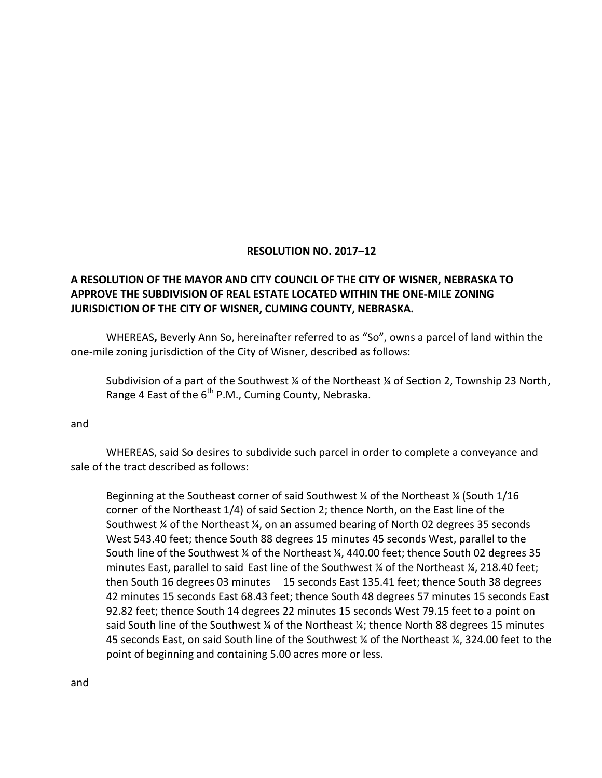## **RESOLUTION NO. 2017–12**

## **A RESOLUTION OF THE MAYOR AND CITY COUNCIL OF THE CITY OF WISNER, NEBRASKA TO APPROVE THE SUBDIVISION OF REAL ESTATE LOCATED WITHIN THE ONE-MILE ZONING JURISDICTION OF THE CITY OF WISNER, CUMING COUNTY, NEBRASKA.**

WHEREAS**,** Beverly Ann So, hereinafter referred to as "So", owns a parcel of land within the one-mile zoning jurisdiction of the City of Wisner, described as follows:

Subdivision of a part of the Southwest ¼ of the Northeast ¼ of Section 2, Township 23 North, Range 4 East of the  $6<sup>th</sup>$  P.M., Cuming County, Nebraska.

and

WHEREAS, said So desires to subdivide such parcel in order to complete a conveyance and sale of the tract described as follows:

Beginning at the Southeast corner of said Southwest ¼ of the Northeast ¼ (South 1/16 corner of the Northeast 1/4) of said Section 2; thence North, on the East line of the Southwest ¼ of the Northeast ¼, on an assumed bearing of North 02 degrees 35 seconds West 543.40 feet; thence South 88 degrees 15 minutes 45 seconds West, parallel to the South line of the Southwest ¼ of the Northeast ¼, 440.00 feet; thence South 02 degrees 35 minutes East, parallel to said East line of the Southwest  $\frac{1}{4}$  of the Northeast  $\frac{1}{4}$ , 218.40 feet; then South 16 degrees 03 minutes 15 seconds East 135.41 feet; thence South 38 degrees 42 minutes 15 seconds East 68.43 feet; thence South 48 degrees 57 minutes 15 seconds East 92.82 feet; thence South 14 degrees 22 minutes 15 seconds West 79.15 feet to a point on said South line of the Southwest  $\frac{1}{4}$  of the Northeast  $\frac{1}{4}$ ; thence North 88 degrees 15 minutes 45 seconds East, on said South line of the Southwest ¼ of the Northeast ¼, 324.00 feet to the point of beginning and containing 5.00 acres more or less.

and